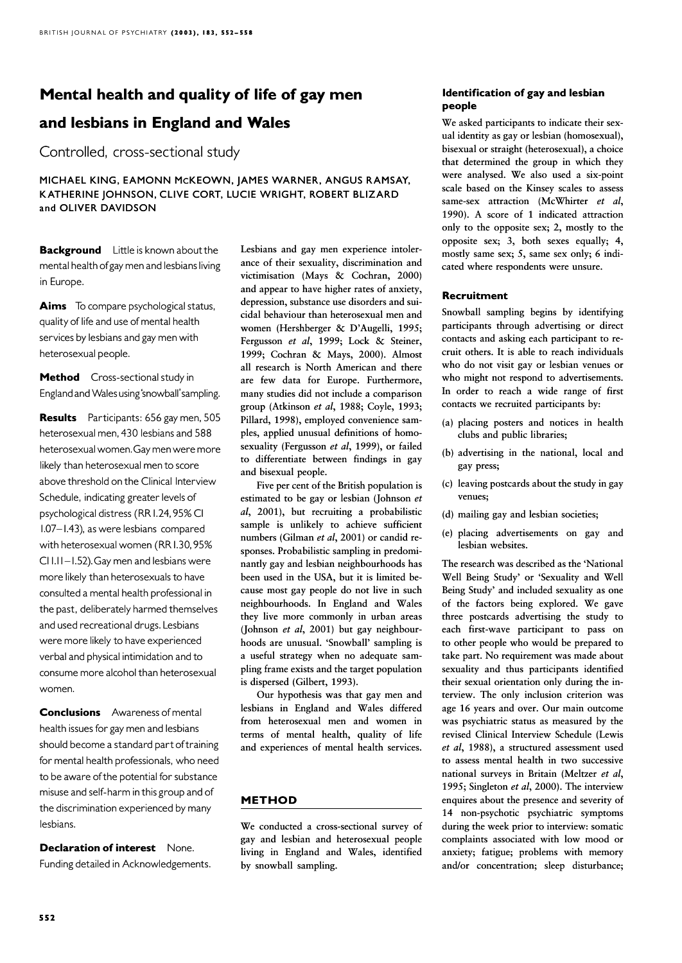# Mental health and quality of life of gay men

# and lesbians in England and Wales

Controlled, cross-sectional study

MICHAEL KING, EAMONN MCKEOWN, JAMES WARNER, ANGUS RAMSAY, KATHERINE JOHNSON, CLIVE CORT, LUCIE WRIGHT, ROBERT BLIZARD and OLIVER DAVIDSON

**Background** Little is known about the mental health of gay men and lesbians living in Europe.

Aims To compare psychological status, quality of life and use of mental health services by lesbians and gay men with heterosexual people.

Method Cross-sectional study in EnglandandWalesusing'snowball'sampling.

Results Participants: 656 gay men, 505 heterosexual men, 430 lesbians and 588 heterosexual women. Gay men were more likely than heterosexual men to score above threshold on the Clinical Interview Schedule, indicating greater levels of psychological distress (RR1.24,95% CI 1.07-1.43), as were lesbians compared with heterosexual women (RR I.30, 95% CII.II-I.52). Gay men and lesbians were more likely than heterosexuals to have consulted a mental health professional in the past, deliberately harmed themselves and used recreational drugs.Lesbians were more likely to have experienced verbal and physical intimidation and to consume more alcohol than heterosexual women.

Conclusions Awareness of mental health issues for gay men and lesbians should become a standard part of training for mental health professionals, who need to be aware of the potential for substance misuse and self-harmin this group and of the discrimination experienced by many lesbians.

Declaration of interest None. Funding detailed in Acknowledgements. Lesbians and gay men experience intolerance of their sexuality, discrimination and victimisation (Mays & Cochran, 2000) and appear to have higher rates of anxiety, depression, substance use disorders and suicidal behaviour than heterosexual men and women (Hershberger & D'Augelli, 1995; Fergusson et al, 1999; Lock & Steiner, 1999; Cochran & Mays, 2000). Almost all research is North American and there are few data for Europe. Furthermore, many studies did not include a comparison group (Atkinson et al, 1988; Coyle, 1993; Pillard, 1998), employed convenience samples, applied unusual definitions of homosexuality (Fergusson et al, 1999), or failed to differentiate between findings in gay and bisexual people.

Five per cent of the British population is estimated to be gay or lesbian (Johnson et al, 2001), but recruiting a probabilistic sample is unlikely to achieve sufficient numbers (Gilman et al, 2001) or candid responses. Probabilistic sampling in predominantly gay and lesbian neighbourhoods has been used in the USA, but it is limited because most gay people do not live in such neighbourhoods. In England and Wales they live more commonly in urban areas (Johnson et al, 2001) but gay neighbourhoods are unusual. 'Snowball' sampling is a useful strategy when no adequate sampling frame exists and the target population is dispersed (Gilbert, 1993).

Our hypothesis was that gay men and lesbians in England and Wales differed from heterosexual men and women in terms of mental health, quality of life and experiences of mental health services.

# METHOD

We conducted a cross-sectional survey of gay and lesbian and heterosexual people living in England and Wales, identified by snowball sampling.

# Identification of gay and lesbian people

We asked participants to indicate their sexual identity as gay or lesbian (homosexual), bisexual or straight (heterosexual), a choice that determined the group in which they were analysed. We also used a six-point scale based on the Kinsey scales to assess same-sex attraction (McWhirter et al, 1990). A score of 1 indicated attraction only to the opposite sex; 2, mostly to the opposite sex; 3, both sexes equally; 4, mostly same sex; 5, same sex only; 6 indicated where respondents were unsure.

## Recruitment

Snowball sampling begins by identifying participants through advertising or direct contacts and asking each participant to recruit others. It is able to reach individuals who do not visit gay or lesbian venues or who might not respond to advertisements. In order to reach a wide range of first contacts we recruited participants by:

- $(a)$  placing posters and notices in health clubs and public libraries;
- (b) advertising in the national, local and gay press;
- (c) leaving postcards about the study in gay venues;
- (d) mailing gay and lesbian societies;
- (e) placing advertisements on gay and lesbian websites.

The research was described as the 'National Well Being Study' or 'Sexuality and Well Being Study' and included sexuality as one of the factors being explored. We gave three postcards advertising the study to each first-wave participant to pass on to other people who would be prepared to take part. No requirement was made about sexuality and thus participants identified their sexual orientation only during the interview. The only inclusion criterion was age 16 years and over. Our main outcome was psychiatric status as measured by the revised Clinical Interview Schedule (Lewis et al, 1988), a structured assessment used to assess mental health in two successive national surveys in Britain (Meltzer et al, 1995; Singleton et al. 2000). The interview enquires about the presence and severity of 14 non-psychotic psychiatric symptoms during the week prior to interview: somatic complaints associated with low mood or anxiety; fatigue; problems with memory and/or concentration; sleep disturbance;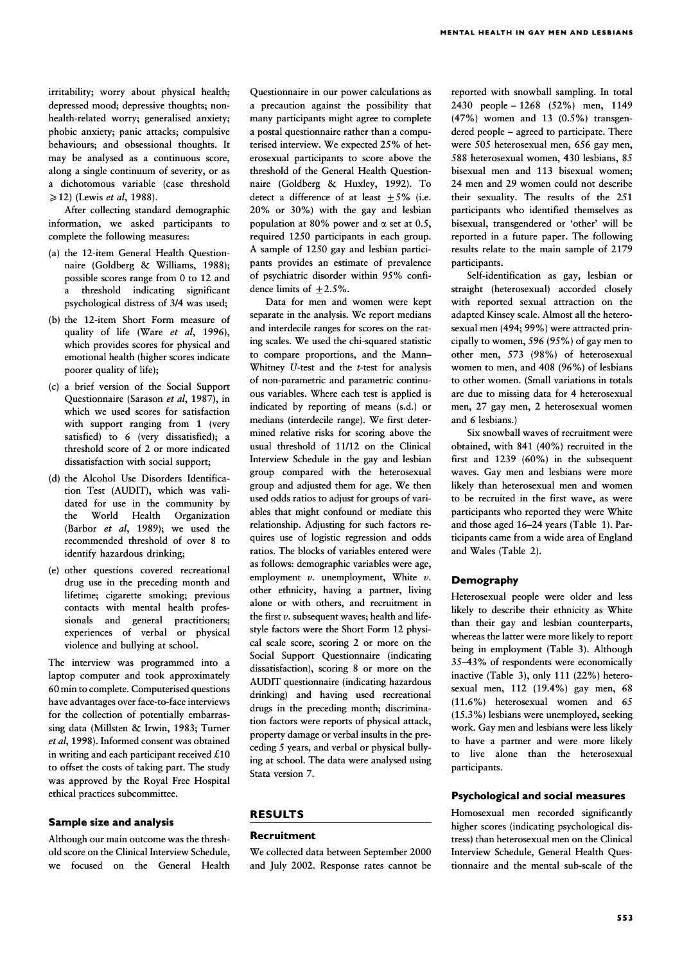irritability; worry about physical health; depressed mood; depressive thoughts; nonhealth-related worry; generalised anxiety; phobic anxiety; panic attacks; compulsive behaviours; and obsessional thoughts. It may be analysed as a continuous score, along a single continuum of severity, or as a dichotomous variable (case threshold  $\geq$ 12) (Lewis *et al*, 1988).

After collecting standard demographic information, we asked participants to complete the following measures:

- (a) the 12-item General Health Questionnaire (Goldberg & Williams, 1988); possible scores range from 0 to 12 and a threshold indicating significant psychological distress of 3/4 was used;
- $(b)$  the 12-item Short Form measure of quality of life (Ware et al, 1996), which provides scores for physical and emotional health (higher scores indicate poorer quality of life);
- (c) a brief version of the Social Support Questionnaire (Sarason et al. 1987), in which we used scores for satisfaction with support ranging from 1 (very satisfied) to 6 (very dissatisfied); a threshold score of 2 or more indicated dissatisfaction with social support;
- (d) the Alcohol Use Disorders Identification Test (AUDIT), which was validated for use in the community by the World Health Organization (Barbor et al, 1989); we used the recommended threshold of over 8 to identify hazardous drinking;
- (e) other questions covered recreational drug use in the preceding month and lifetime; cigarette smoking; previous contacts with mental health professionals and general practitioners; experiences of verbal or physical violence and bullying at school.

The interview was programmed into a laptop computer and took approximately 60 min to complete. Computerised questions 60 have advantages over face-to-face interviews for the collection of potentially embarrassing data (Millsten & Irwin, 1983; Turner et al, 1998). Informed consent was obtained in writing and each participant received  $£10$ to offset the costs of taking part. The study was approved by the Royal Free Hospital ethical practices subcommittee.

## Sample size and analysis

Although our main outcome was the threshold score on the Clinical Interview Schedule, we focused on the General Health

Questionnaire in our power calculations as Questionnaire in our calculations as a precaution against the possibility that many participants might agree to complete a postal questionnaire rather than a computerised interview. We expected 25% of heterosexual participants to score above the threshold of the General Health Questionnaire (Goldberg & Huxley, 1992). To detect a difference of at least  $\pm 5$ % (i.e.  $20\%$  or  $30\%$ ) with the gay and lesbian population at 80% power and  $\alpha$  set at 0.5, required 1250 participants in each group. A sample of 1250 gay and lesbian participants provides an estimate of prevalence of psychiatric disorder within 95% confidence limits of  $\pm 2.5\%$ .

Data for men and women were kept separate in the analysis. We report medians and interdecile ranges for scores on the rating scales. We used the chi-squared statistic to compare proportions, and the Mann-Whitney  $U$ -test and the  $t$ -test for analysis of non-parametric and parametric continuous variables. Where each test is applied is applied is indicated by reporting of means (s.d.) or medians (interdecile range). We first determined relative risks for scoring above the usual threshold of 11/12 on the Clinical Interview Schedule in the gay and lesbian group compared with the heterosexual group and adjusted them for age. We then used odds ratios to adjust for groups of variables that might confound or mediate this relationship. Adjusting for such factors requires use of logistic regression and odds ratios. The blocks of variables entered were as follows: demographic variables were age, employment  $v$ . unemployment, White  $v$ . other ethnicity, having a partner, living alone or with others, and recruitment in the first  $\nu$ . subsequent waves; health and lifestyle factors were the Short Form 12 physical scale score, scoring 2 or more on the Social Support Questionnaire (indicating dissatisfaction), scoring 8 or more on the AUDIT questionnaire (indicating hazardous drinking) and having used recreational drugs in the preceding month; discrimination factors were reports of physical attack, property damage or verbal insults in the preceding 5 years, and verbal or physical bullying at school. The data were analysed using Stata version 7.

## RESULTS

#### Recruitment

We collected data between September 2000 and July 2002. Response rates cannot be reported with snowball sampling. In total 2430 people – 1268 (52%) men, 1149 (47%) women and 13 (0.5%) transgendered people – agreed to participate. There were 505 heterosexual men, 656 gay men, 588 heterosexual women, 430 lesbians, 85 bisexual men and 113 bisexual women; 24 men and 29 women could not describe their sexuality. The results of the 251 participants who identified themselves as bisexual, transgendered or 'other' will be reported in a future paper. The following results relate to the main sample of 2179 participants.

Self-identification as gay, lesbian or straight (heterosexual) accorded closely with reported sexual attraction on the adapted Kinsey scale. Almost all the heterosexual men (494; 99%) were attracted principally to women, 596 (95%) of gay men to other men, 573 (98%) of heterosexual women to men, and 408 (96%) of lesbians to other women. (Small variations in totals are due to missing data for 4 heterosexual men, 27 gay men, 2 heterosexual women and 6 lesbians.)

Six snowball waves of recruitment were obtained, with 841 (40%) recruited in the first and 1239 (60%) in the subsequent waves. Gay men and lesbians were more likely than heterosexual men and women to be recruited in the first wave, as were participants who reported they were White and those aged 16–24 years (Table 1). Participants came from a wide area of England and Wales (Table 2).

## Demography Demography

Heterosexual people were older and less likely to describe their ethnicity as White than their gay and lesbian counterparts, whereas the latter were more likely to report being in employment (Table 3). Although 35–43% of respondents were economically 35–43% of inactive (Table 3), only 111 (22%) heterosexual men, 112 (19.4%) gay men, 68  $(11.6\%)$  heterosexual women and 65  $(15.3\%)$  lesbians were unemployed, seeking work. Gay men and lesbians were less likely to have a partner and were more likely to live alone than the heterosexual participants. participants.

### Psychological and social measures

Homosexual men recorded significantly higher scores (indicating psychological distress) than heterosexual men on the Clinical Interview Schedule, General Health Questionnaire and the mental sub-scale of the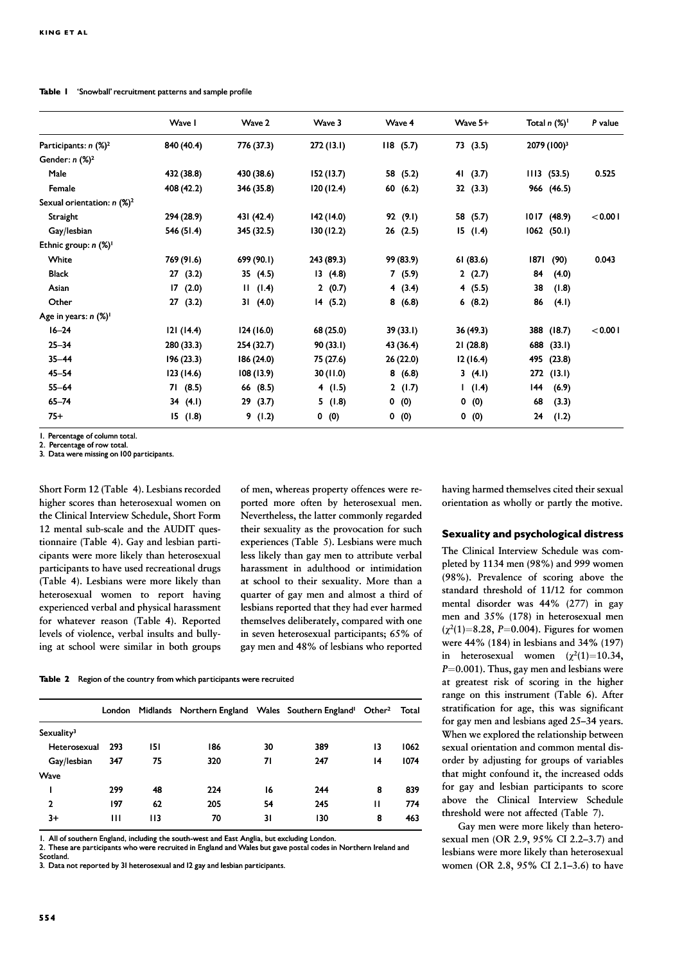Table I 'Snowball' recruitment patterns and sample profile

|                                          | Wave I      | Wave 2     | Wave 3     | Wave 4      | Wave 5+    | Total $n$ (%) <sup>1</sup> | P value |
|------------------------------------------|-------------|------------|------------|-------------|------------|----------------------------|---------|
| Participants: $n$ (%) <sup>2</sup>       | 840 (40.4)  | 776 (37.3) | 272(13.1)  | 118(5.7)    | 73(3.5)    | 2079 (100) <sup>3</sup>    |         |
| Gender: $n$ $(\%)^2$                     |             |            |            |             |            |                            |         |
| Male                                     | 432 (38.8)  | 430 (38.6) | 152(13.7)  | 58 (5.2)    | 41 $(3.7)$ | 1113(53.5)                 | 0.525   |
| Female                                   | 408 (42.2)  | 346 (35.8) | 120(12.4)  | 60<br>(6.2) | 32(3.3)    | 966 (46.5)                 |         |
| Sexual orientation: $n$ (%) <sup>2</sup> |             |            |            |             |            |                            |         |
| Straight                                 | 294 (28.9)  | 431 (42.4) | 142 (14.0) | 92(9.1)     | 58 (5.7)   | 1017(48.9)                 | < 0.001 |
| Gay/lesbian                              | 546 (51.4)  | 345 (32.5) | 130(12.2)  | (2.5)<br>26 | 15(1.4)    | $1062$ (50.1)              |         |
| Ethnic group: $n$ (%) <sup>1</sup>       |             |            |            |             |            |                            |         |
| White                                    | 769 (91.6)  | 699 (90.1) | 243 (89.3) | 99 (83.9)   | 61(83.6)   | 1871<br>(90)               | 0.043   |
| <b>Black</b>                             | 27(3.2)     | 35(4.5)    | 13(4.8)    | 7(5.9)      | 2(2.7)     | 84<br>(4.0)                |         |
| Asian                                    | (2.0)<br>17 | 11(1.4)    | 2(0.7)     | 4(3.4)      | 4(5.5)     | 38<br>(1.8)                |         |
| Other                                    | 27<br>(3.2) | 31(4.0)    | 14(5.2)    | 8(6.8)      | 6(8.2)     | 86<br>(4.1)                |         |
| Age in years: n (%) <sup>1</sup>         |             |            |            |             |            |                            |         |
| $16 - 24$                                | 121(14.4)   | 124(16.0)  | 68 (25.0)  | 39(33.1)    | 36 (49.3)  | 388 (18.7)                 | < 0.001 |
| $25 - 34$                                | 280 (33.3)  | 254 (32.7) | 90(33.1)   | 43 (36.4)   | 21(28.8)   | 688<br>(33.1)              |         |
| $35 - 44$                                | 196(23.3)   | 186 (24.0) | 75 (27.6)  | 26 (22.0)   | 12(16.4)   | 495 (23.8)                 |         |
| $45 - 54$                                | 123(14.6)   | 108(13.9)  | 30(11.0)   | 8(6.8)      | 3(4.1)     | $272$ (13.1)               |         |
| $55 - 64$                                | 71(8.5)     | 66 (8.5)   | 4 $(1.5)$  | 2(1.7)      | 1(1.4)     | 144<br>(6.9)               |         |
| $65 - 74$                                | 34(4.1)     | 29(3.7)    | 5(1.8)     | (0)<br>0    | 0(0)       | (3.3)<br>68                |         |
| $75+$                                    | 15(1.8)     | 9(1.2)     | 0(0)       | 0<br>(0)    | 0<br>(0)   | 24<br>(1.2)                |         |

1. Percentage of column total.

2. Percentage of row total. 3. Data were missing on 100 participants.

Short Form 12 (Table 4). Lesbians recorded higher scores than heterosexual women on the Clinical Interview Schedule, Short Form 12 mental sub-scale and the AUDIT questionnaire (Table 4). Gay and lesbian participants were more likely than heterosexual participants to have used recreational drugs (Table 4). Lesbians were more likely than heterosexual women to report having experienced verbal and physical harassment for whatever reason (Table 4). Reported levels of violence, verbal insults and bullying at school were similar in both groups

of men, whereas property offences were reported more often by heterosexual men. Nevertheless, the latter commonly regarded their sexuality as the provocation for such experiences (Table 5). Lesbians were much less likely than gay men to attribute verbal harassment in adulthood or intimidation at school to their sexuality. More than a quarter of gay men and almost a third of lesbians reported that they had ever harmed themselves deliberately, compared with one in seven heterosexual participants; 65% of gay men and 48% of lesbians who reported

Table 2 Region of the country from which participants were recruited

|                        |     |     | London Midlands Northern England Wales Southern England <sup>1</sup> Other <sup>2</sup> |    |     |    | Total |
|------------------------|-----|-----|-----------------------------------------------------------------------------------------|----|-----|----|-------|
| Sexuality <sup>3</sup> |     |     |                                                                                         |    |     |    |       |
| Heterosexual           | 293 | 151 | 186                                                                                     | 30 | 389 | 13 | 1062  |
| Gay/lesbian            | 347 | 75  | 320                                                                                     | 71 | 247 | 14 | 1074  |
| Wave                   |     |     |                                                                                         |    |     |    |       |
|                        | 299 | 48  | 224                                                                                     | 16 | 244 | 8  | 839   |
| $\mathbf{2}$           | 197 | 62  | 205                                                                                     | 54 | 245 | п  | 774   |
| $3+$                   | Ш   | 113 | 70                                                                                      | 31 | 130 | 8  | 463   |

1. All of southern England, including the south-west and East Anglia, but excluding London.

2. These are participants who were recruited in England and Wales but gave postal codes in Northern Ireland and participants who were recruited in England and Wales but gave postal codes in Northern Ireland and Scotland.

3. Data not reported by 31 heterosexual and 12 gay and lesbian participants.

having harmed themselves cited their sexual orientation as wholly or partly the motive.

#### Sexuality and psychological distress

The Clinical Interview Schedule was completed by 1134 men (98%) and 999 women (98%). Prevalence of scoring above the standard threshold of 11/12 for common mental disorder was 44% (277) in gay men and 35% (178) in heterosexual men  $(y^2(1)=8.28, P=0.004)$ . Figures for women were  $44\%$  (184) in lesbians and  $34\%$  (197) in heterosexual women  $(\chi^2(1)=10.34,$  $P=0.001$ ). Thus, gay men and lesbians were at greatest risk of scoring in the higher range on this instrument (Table 6). After stratification for age, this was significant for gay men and lesbians aged 25–34 years. When we explored the relationship between sexual orientation and common mental disorder by adjusting for groups of variables that might confound it, the increased odds for gay and lesbian participants to score above the Clinical Interview Schedule threshold were not affected (Table 7).

Gay men were more likely than heterosexual men (OR 2.9, 95% CI 2.2–3.7) and lesbians were more likely than heterosexual women (OR 2.8, 95% CI 2.1–3.6) to have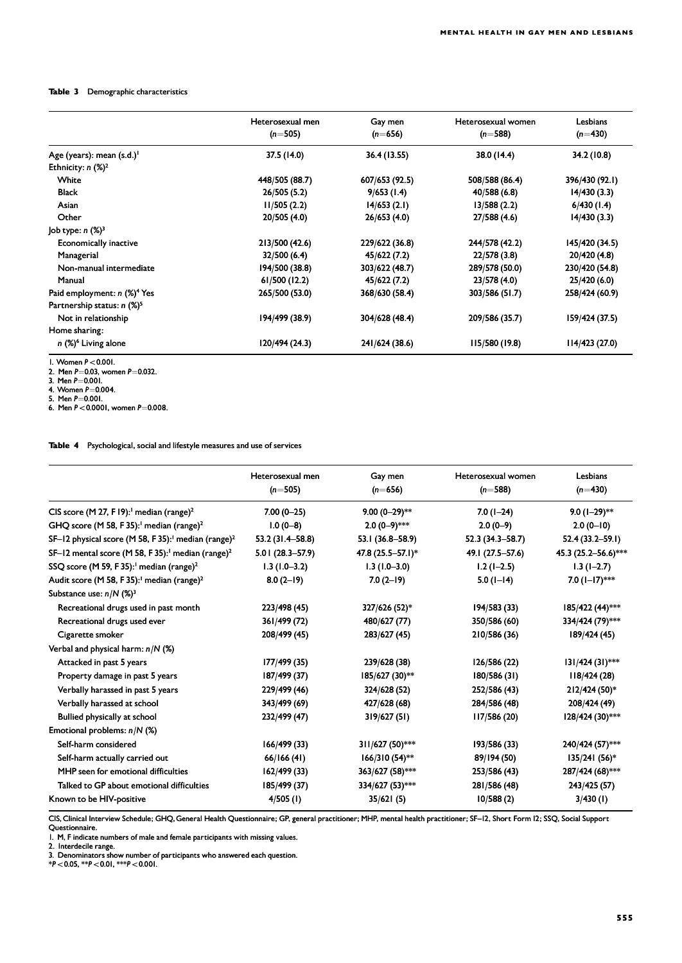#### Table 3 Demographic characteristics

|                                          | Heterosexual men<br>$(n=505)$ | Gay men<br>$(n=656)$ | Heterosexual women<br>$(n=588)$ | Lesbians<br>$(n=430)$ |
|------------------------------------------|-------------------------------|----------------------|---------------------------------|-----------------------|
| Age (years): mean (s.d.)'                | 37.5 (14.0)                   | 36.4 (13.55)         | 38.0 (14.4)                     | 34.2 (10.8)           |
| Ethnicity: $n$ (%) <sup>2</sup>          |                               |                      |                                 |                       |
| White                                    | 448/505 (88.7)                | 607/653 (92.5)       | 508/588 (86.4)                  | 396/430 (92.I)        |
| <b>Black</b>                             | 26/505(5.2)                   | 9/653(1.4)           | 40/588 (6.8)                    | 14/430(3.3)           |
| Asian                                    | 11/505(2.2)                   | 14/653(2.1)          | 13/588(2.2)                     | 6/430(1.4)            |
| Other                                    | 20/505 (4.0)                  | 26/653 (4.0)         | 27/588 (4.6)                    | 14/430(3.3)           |
| Job type: $n$ $(\%)^3$                   |                               |                      |                                 |                       |
| Economically inactive                    | 213/500 (42.6)                | 229/622 (36.8)       | 244/578 (42.2)                  | 145/420 (34.5)        |
| Managerial                               | 32/500 (6.4)                  | 45/622 (7.2)         | 22/578 (3.8)                    | 20/420 (4.8)          |
| Non-manual intermediate                  | 194/500 (38.8)                | 303/622 (48.7)       | 289/578 (50.0)                  | 230/420 (54.8)        |
| Manual                                   | 61/500 (12.2)                 | 45/622 (7.2)         | 23/578 (4.0)                    | 25/420 (6.0)          |
| Paid employment: n (%) <sup>4</sup> Yes  | 265/500 (53.0)                | 368/630 (58.4)       | 303/586 (51.7)                  | 258/424 (60.9)        |
| Partnership status: $n$ (%) <sup>5</sup> |                               |                      |                                 |                       |
| Not in relationship                      | 194/499 (38.9)                | 304/628 (48.4)       | 209/586 (35.7)                  | 159/424 (37.5)        |
| Home sharing:                            |                               |                      |                                 |                       |
| n (%) <sup>6</sup> Living alone          | 120/494 (24.3)                | 241/624 (38.6)       | 115/580 (19.8)                  | 114/423 (27.0)        |

1. Women P < 0.001.<br>2. Men P=0.03, women P=0.032.<br>3. Men P=0.001.<br>4. Women P=0.004.<br>5. Men P < 0.001.<br>6. Men P < 0.0001, women P=0.008.

#### Table 4 Psychological, social and lifestyle measures and use of services

|                                                                             | Heterosexual men<br>$(n=505)$ | Gay men<br>$(n=656)$ | Heterosexual women<br>$(n=588)$ | Lesbians<br>$(n=430)$ |
|-----------------------------------------------------------------------------|-------------------------------|----------------------|---------------------------------|-----------------------|
| CIS score (M 27, F19): <sup>1</sup> median (range) <sup>2</sup>             | $7.00(0-25)$                  | $9.00(0-29)$ **      | $7.0(1-24)$                     | $9.0$ (1-29)**        |
| GHQ score (M 58, F 35): <sup>1</sup> median (range) <sup>2</sup>            | $1.0(0-8)$                    | $2.0(0-9)$ ***       | $2.0(0-9)$                      | $2.0(0-10)$           |
| SF-12 physical score (M 58, F 35): <sup>1</sup> median (range) <sup>2</sup> | 53.2 (31.4-58.8)              | 53.1 (36.8-58.9)     | 52.3 (34.3-58.7)                | $52.4(33.2 - 59.1)$   |
| SF-12 mental score (M 58, F 35): <sup>1</sup> median (range) <sup>2</sup>   | $5.01(28.3 - 57.9)$           | 47.8 (25.5-57.1)*    | 49.1 (27.5-57.6)                | 45.3 (25.2-56.6)***   |
| SSQ score (M 59, F 35): <sup>1</sup> median (range) <sup>2</sup>            | $1.3(1.0-3.2)$                | $1.3(1.0-3.0)$       | $1.2(1-2.5)$                    | $1.3(1-2.7)$          |
| Audit score (M 58, F 35): <sup>1</sup> median (range) <sup>2</sup>          | $8.0(2-19)$                   | $7.0(2-19)$          | $5.0(1-14)$                     | $7.0$ (1-17)***       |
| Substance use: $n/N$ (%) <sup>3</sup>                                       |                               |                      |                                 |                       |
| Recreational drugs used in past month                                       | 223/498 (45)                  | 327/626 (52)*        | 194/583 (33)                    | 185/422 (44)***       |
| Recreational drugs used ever                                                | 361/499 (72)                  | 480/627 (77)         | 350/586 (60)                    | 334/424 (79)***       |
| Cigarette smoker                                                            | 208/499 (45)                  | 283/627 (45)         | 210/586 (36)                    | 189/424 (45)          |
| Verbal and physical harm: n/N (%)                                           |                               |                      |                                 |                       |
| Attacked in past 5 years                                                    | 177/499 (35)                  | 239/628 (38)         | 126/586 (22)                    | $131/424(31)$ ***     |
| Property damage in past 5 years                                             | 187/499 (37)                  | 185/627 (30)**       | 180/586 (31)                    | 118/424 (28)          |
| Verbally harassed in past 5 years                                           | 229/499 (46)                  | 324/628 (52)         | 252/586 (43)                    | 212/424 (50)*         |
| Verbally harassed at school                                                 | 343/499 (69)                  | 427/628 (68)         | 284/586 (48)                    | 208/424 (49)          |
| Bullied physically at school                                                | 232/499 (47)                  | 319/627 (51)         | 117/586 (20)                    | 128/424 (30)***       |
| Emotional problems: n/N (%)                                                 |                               |                      |                                 |                       |
| Self-harm considered                                                        | 166/499(33)                   | 311/627 (50)***      | 193/586 (33)                    | 240/424 (57)***       |
| Self-harm actually carried out                                              | 66/166 (41)                   | 166/310 (54)**       | 89/194 (50)                     | 135/241 (56)*         |
| MHP seen for emotional difficulties                                         | 162/499(33)                   | 363/627 (58)***      | 253/586 (43)                    | 287/424 (68)***       |
| Talked to GP about emotional difficulties                                   | 185/499 (37)                  | 334/627 (53)***      | 281/586 (48)                    | 243/425 (57)          |
| Known to be HIV-positive                                                    | $4/505$ (1)                   | 35/621(5)            | 10/588(2)                       | $3/430$ (1)           |

CIS, Clinical Interview Schedule; GHQ, General Health Questionnaire; GP, general practitioner; MHP, mental health practitioner; SF-12, Short Form 12; SSQ, Social Support Questionnaire.<br>1. M, F indicate numbers of male and female participants with missing values.

2. Interdecile range.

3. Denominators show number of participants who answered each question.<br>\*P < 0.05, \*\*P < 0.01, \*\*\*P < 0.001.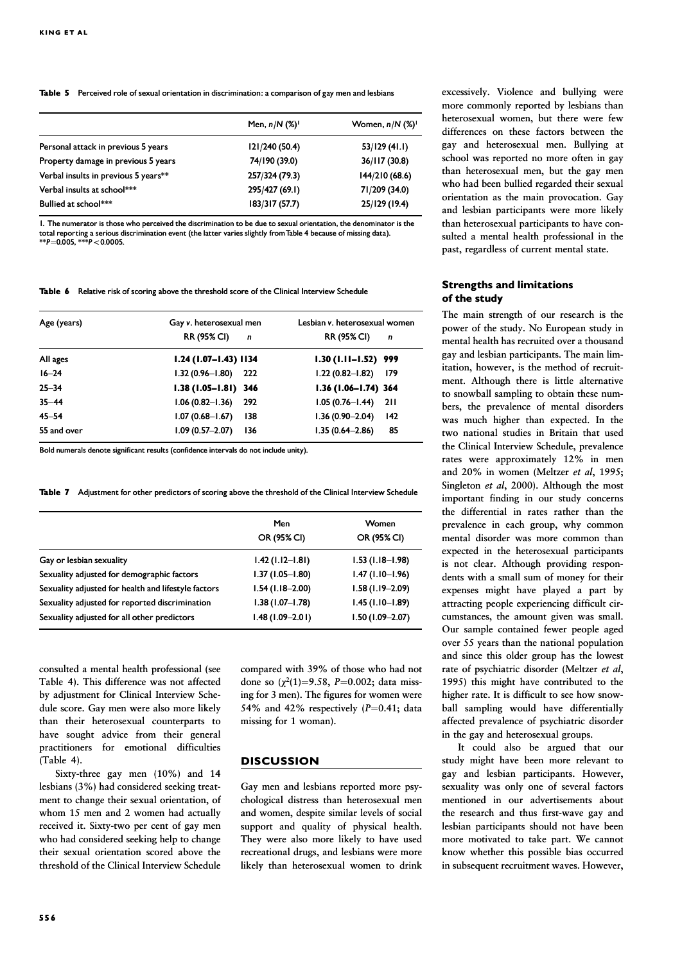Table 5 Perceived role of sexual orientation in discrimination: a comparison of gay men and lesbians

|                                      | Men, $n/N$ (%) <sup>1</sup> | Women, $n/N$ (%) <sup>1</sup> |
|--------------------------------------|-----------------------------|-------------------------------|
| Personal attack in previous 5 years  | 121/240 (50.4)              | 53/129 (41.1)                 |
| Property damage in previous 5 years  | 74/190 (39.0)               | 36/117 (30.8)                 |
| Verbal insults in previous 5 years** | 257/324 (79.3)              | 144/210 (68.6)                |
| Verbal insults at school***          | 295/427 (69.1)              | 71/209 (34.0)                 |
| Bullied at school***                 | 183/317 (57.7)              | 25/129 (19.4)                 |
|                                      |                             |                               |

1. The numerator is those who perceived the discrimination to be due to sexual orientation, the denominator is the total reporting a serious discrimination event (the latter varies slightly fromTable 4 because of missing data).<br>\*\*P=0.005, \*\*\*P < 0.0005.

|  | Table 6 Relative risk of scoring above the threshold score of the Clinical Interview Schedule |
|--|-----------------------------------------------------------------------------------------------|
|--|-----------------------------------------------------------------------------------------------|

| Age (years) | Gay v. heterosexual men<br><b>RR (95% CI)</b><br>$\mathbf n$ | Lesbian v. heterosexual women<br><b>RR (95% CI)</b><br>$\mathbf n$ |  |
|-------------|--------------------------------------------------------------|--------------------------------------------------------------------|--|
| All ages    | $1.24(1.07 - 1.43)$ 1134                                     | $1.30(1.11 - 1.52)$ 999                                            |  |
| $16 - 24$   | $1.32(0.96 - 1.80)$ 222                                      | $1.22(0.82 - 1.82)$ 179                                            |  |
| $25 - 34$   | $1.38(1.05 - 1.81)$ 346                                      | $1.36(1.06 - 1.74)$ 364                                            |  |
| $35 - 44$   | $1.06(0.82 - 1.36)$<br>292                                   | $1.05(0.76 - 1.44)$<br>- 211                                       |  |
| $45 - 54$   | $1.07(0.68 - 1.67)$<br>138                                   | $1.36(0.90 - 2.04)$<br>142                                         |  |
| 55 and over | $1.09(0.57 - 2.07)$<br>136                                   | $1.35(0.64 - 2.86)$<br>85                                          |  |

Bold numerals denote significant results (confidence intervals do not include unity).

Table 7 Adjustment for other predictors of scoring above the threshold of the Clinical Interview Schedule

|                                                     | Men                 | Women               |
|-----------------------------------------------------|---------------------|---------------------|
|                                                     |                     |                     |
|                                                     | OR (95% CI)         | OR (95% CI)         |
| Gay or lesbian sexuality                            | $1.42$ (1.12-1.81)  | $1.53(1.18 - 1.98)$ |
| Sexuality adjusted for demographic factors          | $1.37(1.05 - 1.80)$ | $1.47(1.10-1.96)$   |
| Sexuality adjusted for health and lifestyle factors | $1.54(1.18-2.00)$   | $1.58(1.19 - 2.09)$ |
| Sexuality adjusted for reported discrimination      | $1.38(1.07 - 1.78)$ | $1.45(1.10-1.89)$   |
| Sexuality adjusted for all other predictors         | $1.48(1.09 - 2.01)$ | $1.50(1.09 - 2.07)$ |

consulted a mental health professional (see Table 4). This difference was not affected by adjustment for Clinical Interview Schedule score. Gay men were also more likely than their heterosexual counterparts to have sought advice from their general practitioners for emotional difficulties  $(Table 4)$ .

Sixty-three gay men (10%) and 14 lesbians (3%) had considered seeking treatment to change their sexual orientation, of whom 15 men and 2 women had actually received it. Sixty-two per cent of gay men who had considered seeking help to change their sexual orientation scored above the threshold of the Clinical Interview Schedule compared with 39% of those who had not done so  $(\chi^2(1)=9.58, P=0.002;$  data missing for 3 men). The figures for women were 54% and 42% respectively  $(P=0.41; \text{ data})$ missing for 1 woman).

#### **DISCUSSION**

Gay men and lesbians reported more psychological distress than heterosexual men and women, despite similar levels of social support and quality of physical health. They were also more likely to have used recreational drugs, and lesbians were more likely than heterosexual women to drink excessively. Violence and bullying were more commonly reported by lesbians than heterosexual women, but there were few differences on these factors between the gay and heterosexual men. Bullying at school was reported no more often in gay than heterosexual men, but the gay men who had been bullied regarded their sexual orientation as the main provocation. Gay and lesbian participants were more likely than heterosexual participants to have consulted a mental health professional in the past, regardless of current mental state.

## **Strengths and limitations** of the study

The main strength of our research is the power of the study. No European study in mental health has recruited over a thousand gay and lesbian participants. The main limitation, however, is the method of recruitment. Although there is little alternative to snowball sampling to obtain these numbers, the prevalence of mental disorders was much higher than expected. In the two national studies in Britain that used the Clinical Interview Schedule, prevalence rates were approximately 12% in men and 20% in women (Meltzer et al, 1995; Singleton et al, 2000). Although the most important finding in our study concerns the differential in rates rather than the prevalence in each group, why common mental disorder was more common than expected in the heterosexual participants is not clear. Although providing respondents with a small sum of money for their expenses might have played a part by attracting people experiencing difficult circumstances, the amount given was small. Our sample contained fewer people aged over 55 years than the national population and since this older group has the lowest rate of psychiatric disorder (Meltzer et al, 1995) this might have contributed to the higher rate. It is difficult to see how snowball sampling would have differentially affected prevalence of psychiatric disorder in the gay and heterosexual groups.

It could also be argued that our study might have been more relevant to gay and lesbian participants. However, sexuality was only one of several factors mentioned in our advertisements about the research and thus first-wave gay and lesbian participants should not have been more motivated to take part. We cannot know whether this possible bias occurred in subsequent recruitment waves. However,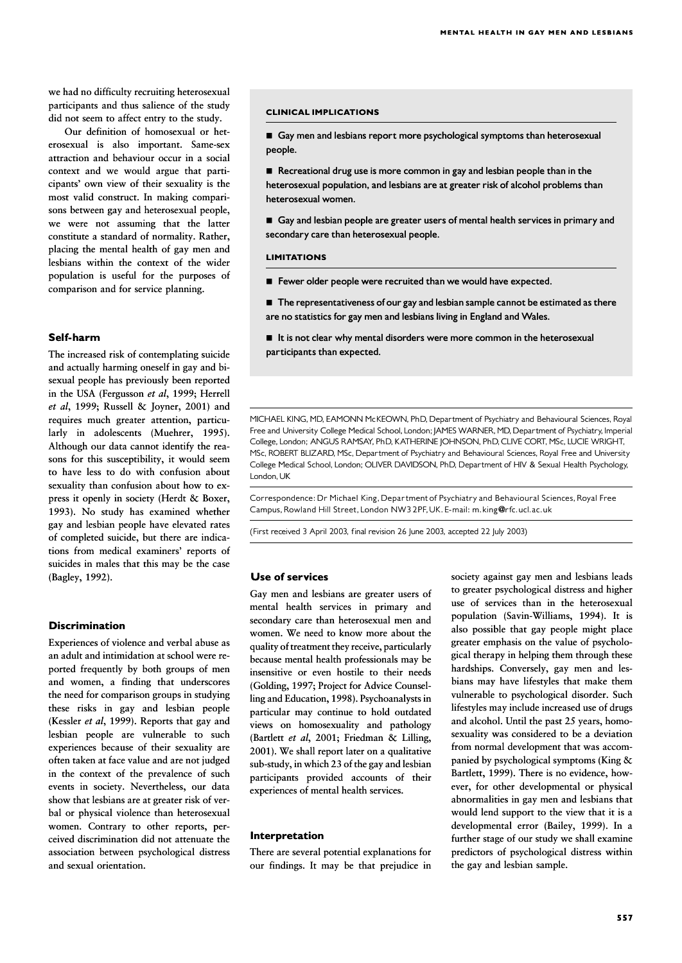we had no difficulty recruiting heterosexual participants and thus salience of the study did not seem to affect entry to the study.

Our definition of homosexual or heterosexual is also important. Same-sex attraction and behaviour occur in a social context and we would argue that participants' own view of their sexuality is the most valid construct. In making comparisons between gay and heterosexual people, we were not assuming that the latter constitute a standard of normality. Rather, placing the mental health of gay men and lesbians within the context of the wider population is useful for the purposes of comparison and for service planning.

#### Self-harm

The increased risk of contemplating suicide and actually harming oneself in gay and bisexual people has previously been reported in the USA (Fergusson et al, 1999; Herrell et al, 1999; Russell & Joyner, 2001) and requires much greater attention, particularly in adolescents (Muehrer, 1995). Although our data cannot identify the reasons for this susceptibility, it would seem to have less to do with confusion about sexuality than confusion about how to express it openly in society (Herdt & Boxer, 1993). No study has examined whether gay and lesbian people have elevated rates of completed suicide, but there are indications from medical examiners' reports of suicides in males that this may be the case (Bagley, 1992).

#### **Discrimination**

Experiences of violence and verbal abuse as an adult and intimidation at school were reported frequently by both groups of men and women, a finding that underscores the need for comparison groups in studying these risks in gay and lesbian people (Kessler *et al*, 1999). Reports that gay and lesbian people are vulnerable to such experiences because of their sexuality are often taken at face value and are not judged in the context of the prevalence of such events in society. Nevertheless, our data show that lesbians are at greater risk of verbal or physical violence than heterosexual women. Contrary to other reports, perceived discrimination did not attenuate the association between psychological distress and sexual orientation.

#### CLINICAL IMPLICATIONS CLINICAL IMPLICATIONS

Gay men and lesbians report more psychological symptoms than heterosexual people.

Recreational drug use is more common in gay and lesbian people than in the heterosexual population, and lesbians are at greater risk of alcohol problems than heterosexual women.

Gay and lesbian people are greater users of mental health services in primary and secondary care than heterosexual people.

#### LIMITATIONS

- Fewer older people were recruited than we would have expected.
- $\blacksquare$  The representativeness of our gay and lesbian sample cannot be estimated as there are no statistics for gay men and lesbians living in England and Wales.
- It is not clear why mental disorders were more common in the heterosexual participants than expected.

MICHAEL KING, MD, EAMONN McKEOWN, PhD, Department of Psychiatry and Behavioural Sciences, Royal Free and University College Medical School, London; JAMES WARNER, MD, Department of Psychiatry, Imperial College, London; ANGUS RAMSAY, PhD, KATHERINE JOHNSON, PhD, CLIVE CORT, MSc, LUCIE WRIGHT, MSc, ROBERT BLIZARD, MSc, Department of Psychiatry and Behavioural Sciences, Royal Free and University College Medical School, London; OLIVER DAVIDSON, PhD, Department of HIV & Sexual Health Psychology, London, UK

Correspondence: Dr Michael King, Department of Psychiatry and Behavioural Sciences, Royal Free Campus, Rowland Hill Street, London NW3 2PF, UK. E-mail: m.king@rfc.ucl.ac.uk

(First received 3 April 2003, final revision 26 June 2003, accepted 22 July 2003)

#### Use of services

Gay men and lesbians are greater users of mental health services in primary and secondary care than heterosexual men and women. We need to know more about the quality of treatment they receive, particularly because mental health professionals may be insensitive or even hostile to their needs (Golding, 1997; Project for Advice Counselling and Education, 1998). Psychoanalysts in particular may continue to hold outdated views on homosexuality and pathology (Bartlett et al, 2001; Friedman & Lilling, 2001). We shall report later on a qualitative sub-study, in which 23 of the gay and lesbian participants provided accounts of their experiences of mental health services.

### Interpretation

There are several potential explanations for our findings. It may be that prejudice in society against gay men and lesbians leads to greater psychological distress and higher use of services than in the heterosexual population (Savin-Williams, 1994). It is also possible that gay people might place greater emphasis on the value of psychological therapy in helping them through these hardships. Conversely, gay men and lesbians may have lifestyles that make them vulnerable to psychological disorder. Such lifestyles may include increased use of drugs and alcohol. Until the past 25 years, homosexuality was considered to be a deviation from normal development that was accompanied by psychological symptoms (King & Bartlett, 1999). There is no evidence, however, for other developmental or physical abnormalities in gay men and lesbians that would lend support to the view that it is a developmental error (Bailey, 1999). In a further stage of our study we shall examine predictors of psychological distress within the gay and lesbian sample.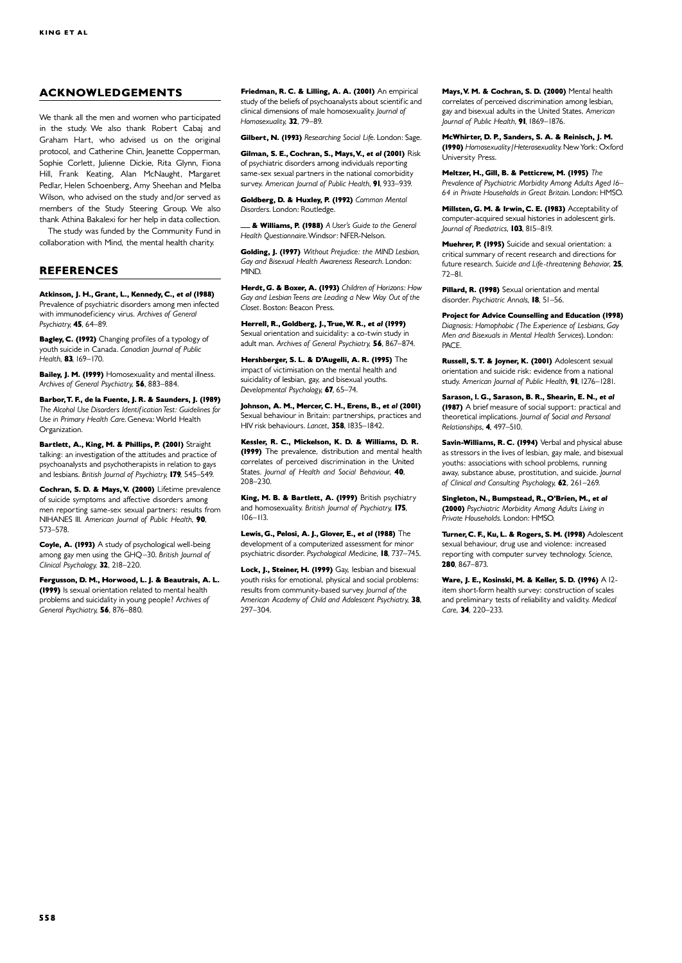## ACKNOWLEDGEMENTS

We thank all the men and women who participated in the study. We also thank Robert Cabaj and Graham Hart, who advised us on the original protocol, and Catherine Chin, Jeanette Copperman, Sophie Corlett, Julienne Dickie, Rita Glynn, Fiona Hill, Frank Keating, Alan McNaught, Margaret Pedlar, Helen Schoenberg, Amy Sheehan and Melba Wilson, who advised on the study and/or served as members of the Study Steering Group. We also thank Athina Bakalexi for her help in data collection.

The study was funded by the Community Fund in collaboration with Mind, the mental health charity.

## REFERENCES

Atkinson, J. H., Grant, L., Kennedy, C., et al (1988) Prevalence of psychiatric disorders among men infected with immunodeficiency virus. Archives of General Psychiatry, **45**, 64-89.

Bagley, C. (1992) Changing profiles of a typology of youth suicide in Canada. Canadian Journal of Public Health, 83, 169-170.

Bailey, J. M. (1999) Homosexuality and mental illness. Archives of General Psychiatry, 56, 883-884.

Barbor, T. F., de la Fuente, J. R. & Saunders, J. (1989) The Alcohol Use Disorders Identification Test: Guidelines for Use in Primary Health Care. Geneva: World Health Organization.

Bartlett, A., King, M. & Phillips, P. (2001) Straight talking: an investigation of the attitudes and practice of psychoanalysts and psychotherapists in relation to gays and lesbians. British Journal of Psychiatry, 179, 545-549.

Cochran, S. D. & Mays, V. (2000) Lifetime prevalence of suicide symptoms and affective disorders among men reporting same-sex sexual partners: results from NIHANES III. American Journal of Public Health, 90, 573^578.

Coyle, A. (1993) A study of psychological well-being among gay men using the GHQ-30. British Journal of Clinical Psychology, 32, 218-220.

Fergusson, D. M., Horwood, L. J. & Beautrais, A. L. (1999) Is sexual orientation related to mental health problems and suicidality in young people? Archives of General Psychiatry,  $\overline{\bf{56}}$ , 876–880.

Friedman, R. C. & Lilling, A. A. (2001) An empirical study of the beliefs of psychoanalysts about scientific and clinical dimensions of male homosexuality. Journal of Homosexuality. 32, 79-89.

Gilbert, N. (1993) Researching Social Life. London: Sage.

Gilman, S. E., Cochran, S., Mays, V., et al (2001) Risk of psychiatric disorders among individuals reporting same-sex sexual partners in the national comorbidity survey. American Journal of Public Health, 91, 933-939.

Goldberg, D. & Huxley, P. (1992) Common Mental Disorders London: Routledge

& Williams, P. (1988) A User's Guide to the General Health Questionnaire Health Questionnaire.Windsor: NFER-Nelson. NFER-Nelson.

Golding, L. (1997) Without Prejudice: the MIND Lesbian Gay and Bisexual Health Awareness Research London: MIND.

Herdt, G. & Boxer, A. (1993) Children of Horizons: How Gay and Lesbian Teens are Leading a New Way Out of the Closet. Boston: Beacon Press.

Herrell, R., Goldberg, J., True, W. R., et al (1999) Sexual orientation and suicidality: a co-twin study in adult man. Archives of General Psychiatry, 56, 867-874.

Hershberger, S. L. & D'Augelli, A. R. (1995) The impact of victimisation on the mental health and suicidality of lesbian, gay, and bisexual youths. Developmental Psychology, 67, 65-74.

Johnson, A. M., Mercer, C. H., Erens, B., et al (2001) Sexual behaviour in Britain: partnerships, practices and HIV risk behaviours. Lancet, 358, 1835-1842.

Kessler, R. C., Mickelson, K. D. & Williams, D. R. (1999) The prevalence, distribution and mental health correlates of perceived discrimination in the United States. Journal of Health and Social Behaviour. 40,  $208 - 230$ .

King, M. B. & Bartlett, A. (1999) British psychiatry and homosexuality. British Journal of Psychiatry, 175,  $106 - 113.$ 

Lewis, G., Pelosi, A. J., Glover, E., et al (1988) The development of a computerized assessment for minor psychiatric disorder. Psychological Medicine, 18, 737-745.

Lock, J., Steiner, H. (1999) Gay, lesbian and bisexual youth risks for emotional, physical and social problems: results from community-based survey. Journal of the American Academy of Child and Adolescent Psychiatry, 38, 297-304

Mays, V. M. & Cochran, S. D. (2000) Mental health correlates of perceived discrimination among lesbian, gay and bisexual adults in the United States. American Journal of Public Health, 91, 1869-1876.

McWhirter, D. P., Sanders, S. A. & Reinisch, J. M. (1990) Homosexuality/Heterosexuality New York: Oxford University Press.

Meltzer, H., Gill, B. & Petticrew, M. (1995) The Prevalence of Psychiatric Morbidity Among Adults Aged 16-64 in Private Households in Great Britain. London: HMSO.

Millsten, G. M. & Irwin, C. E. (1983) Acceptability of computer-acquired sexual histories in adolescent girls. Journal of Paediatrics, 103, 815-819.

Muehrer, P. (1995) Suicide and sexual orientation: a critical summary of recent research and directions for future research. Suicide and Life-threatening Behavior. 25,  $72 - 81$ 

Pillard, R. (1998) Sexual orientation and mental disorder. Psychiatric Annals.  $18.51 - 56.$ 

Project for Advice Counselling and Education (1998) Diagnosis: Homophobic (The Experience of Lesbians, Gay Men and Bisexuals in Mental Health Services). London: PACE.

Russell, S. T. & Joyner, K. (2001) Adolescent sexual orientation and suicide risk: evidence from a national study. American Journal of Public Health, 91, 1276-1281.

Sarason, I. G., Sarason, B. R., Shearin, E. N., et al (1987) A brief measure of social support: practical and theoretical implications. Journal of Social and Personal  $Relationshins.$  4, 497 $-510.$ 

Savin-Williams, R. C. (1994) Verbal and physical abuse as stressors in the lives of lesbian, gay male, and bisexual youths: associations with school problems, running away, substance abuse, prostitution, and suicide. Journal of Clinical and Consulting Psychology, 62, 261-269.

Singleton, N., Bumpstead, R., O'Brien, M., et al. (2000) Psychiatric Morbidity Among Adults Living in Private Households. London: HMSO. London: HMSO.

Turner, C. F., Ku, L. & Rogers, S. M. (1998) Adolescent sexual behaviour, drug use and violence: increased reporting with computer survey technology. Science, 280, 867-873.

Ware, J. E., Kosinski, M. & Keller, S. D. (1996) A 12 item short-form health survey: construction of scales and preliminary tests of reliability and validity. Medical  $Care$ , 34, 220 $-233$ .